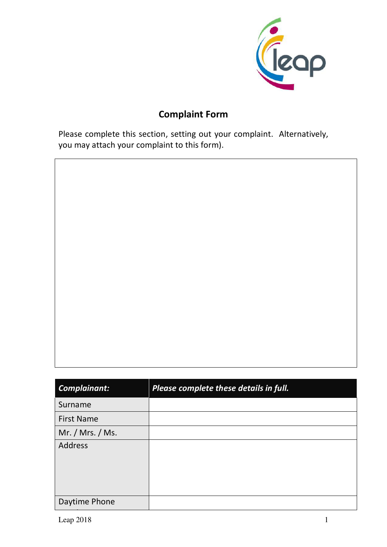

 $\overline{1}$ 

## **Complaint Form**

Please complete this section, setting out your complaint. Alternatively, you may attach your complaint to this form).

| <b>Complainant:</b> | Please complete these details in full. |
|---------------------|----------------------------------------|
| Surname             |                                        |
| <b>First Name</b>   |                                        |
| Mr. / Mrs. / Ms.    |                                        |
| <b>Address</b>      |                                        |
| Daytime Phone       |                                        |

 $\overline{1}$